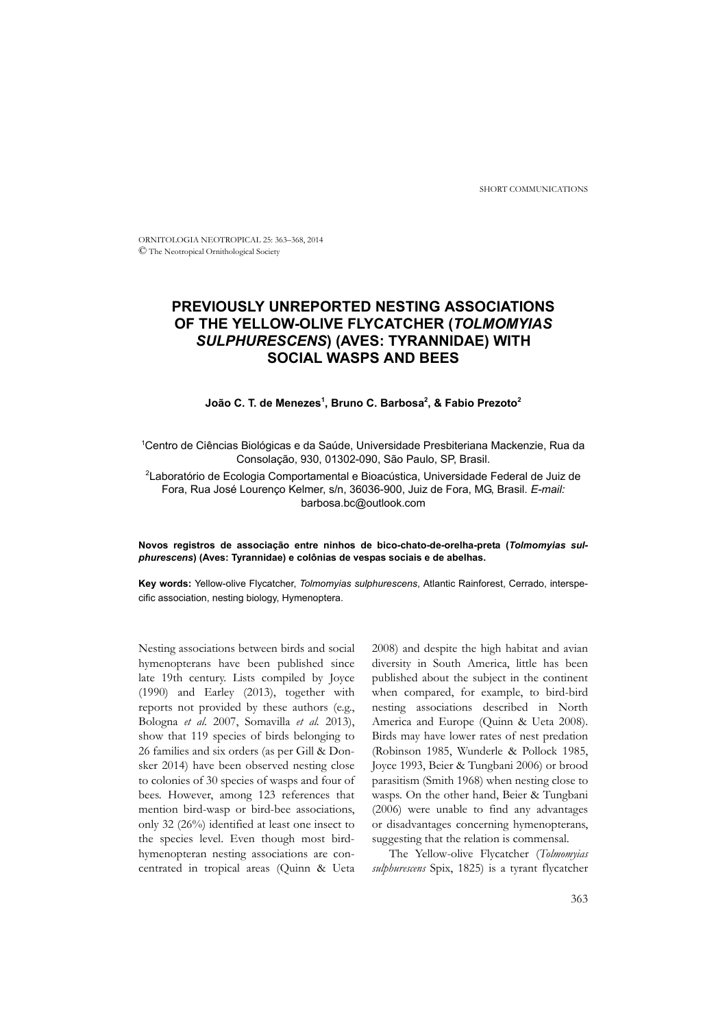SHORT COMMUNICATIONS

ORNITOLOGIA NEOTROPICAL 25: 363–368, 2014 © The Neotropical Ornithological Society

# **PREVIOUSLY UNREPORTED NESTING ASSOCIATIONS OF THE YELLOW-OLIVE FLYCATCHER (***TOLMOMYIAS SULPHURESCENS***) (AVES: TYRANNIDAE) WITH SOCIAL WASPS AND BEES**

#### **João C. T. de Menezes1 , Bruno C. Barbosa2 , & Fabio Prezoto2**

1 Centro de Ciências Biológicas e da Saúde, Universidade Presbiteriana Mackenzie, Rua da Consolação, 930, 01302-090, São Paulo, SP, Brasil.

2 Laboratório de Ecologia Comportamental e Bioacústica, Universidade Federal de Juiz de Fora, Rua José Lourenço Kelmer, s/n, 36036-900, Juiz de Fora, MG, Brasil. *E-mail:*  barbosa.bc@outlook.com

#### **Novos registros de associação entre ninhos de bico-chato-de-orelha-preta (***Tolmomyias sulphurescens***) (Aves: Tyrannidae) e colônias de vespas sociais e de abelhas.**

**Key words:** Yellow-olive Flycatcher, *Tolmomyias sulphurescens*, Atlantic Rainforest, Cerrado, interspecific association, nesting biology, Hymenoptera.

Nesting associations between birds and social hymenopterans have been published since late 19th century. Lists compiled by Joyce (1990) and Earley (2013), together with reports not provided by these authors (e.g., Bologna *et al.* 2007, Somavilla *et al.* 2013), show that 119 species of birds belonging to 26 families and six orders (as per Gill & Donsker 2014) have been observed nesting close to colonies of 30 species of wasps and four of bees. However, among 123 references that mention bird-wasp or bird-bee associations, only 32 (26%) identified at least one insect to the species level. Even though most birdhymenopteran nesting associations are concentrated in tropical areas (Quinn & Ueta 2008) and despite the high habitat and avian diversity in South America, little has been published about the subject in the continent when compared, for example, to bird-bird nesting associations described in North America and Europe (Quinn & Ueta 2008). Birds may have lower rates of nest predation (Robinson 1985, Wunderle & Pollock 1985, Joyce 1993, Beier & Tungbani 2006) or brood parasitism (Smith 1968) when nesting close to wasps. On the other hand, Beier & Tungbani (2006) were unable to find any advantages or disadvantages concerning hymenopterans, suggesting that the relation is commensal.

The Yellow-olive Flycatcher (*Tolmomyias sulphurescens* Spix, 1825) is a tyrant flycatcher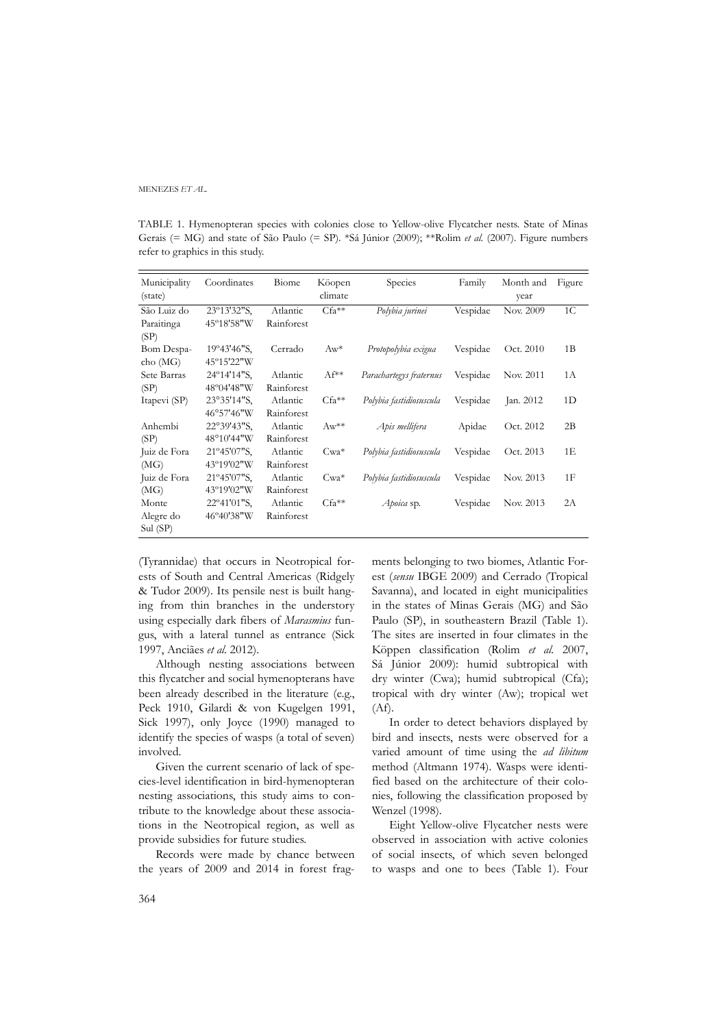MENEZES *ET AL.*

TABLE 1. Hymenopteran species with colonies close to Yellow-olive Flycatcher nests. State of Minas Gerais (= MG) and state of São Paulo (= SP). \*Sá Júnior (2009); \*\*Rolim *et al.* (2007). Figure numbers refer to graphics in this study.

| Municipality<br>(state) | Coordinates            | Biome      | Köopen<br>climate | Species                 | Family   | Month and<br>year | Figure         |
|-------------------------|------------------------|------------|-------------------|-------------------------|----------|-------------------|----------------|
|                         |                        |            |                   |                         |          |                   |                |
| São Luiz do             | 23°13'32"S,            | Atlantic   | $Cfa**$           | Polybia jurinei         | Vespidae | Nov. 2009         | 1 <sup>C</sup> |
| Paraitinga              | 45°18'58"W             | Rainforest |                   |                         |          |                   |                |
| (SP)                    |                        |            |                   |                         |          |                   |                |
| Bom Despa-              | 19°43'46"S,            | Cerrado    | $Aw^*$            | Protopolybia exigua     | Vespidae | Oct. 2010         | 1B             |
| cho (MG)                | 45°15'22"W             |            |                   |                         |          |                   |                |
| Sete Barras             | 24°14'14"S,            | Atlantic   | $AF^{**}$         | Parachartegys fraternus | Vespidae | Nov. 2011         | 1A             |
| (SP)                    | 48°04'48"W             | Rainforest |                   |                         |          |                   |                |
| Itapevi (SP)            | 23°35'14"S.            | Atlantic   | $Cfa**$           | Polybia fastidiosuscula | Vespidae | Jan. 2012         | 1D             |
|                         | 46°57'46"W             | Rainforest |                   |                         |          |                   |                |
| Anhembi                 | $22^{\circ}39'43''S$ , | Atlantic   | $Aw^{**}$         | Apis mellifera          | Apidae   | Oct. 2012         | 2B             |
| (SP)                    | 48°10'44"W             | Rainforest |                   |                         |          |                   |                |
| Juiz de Fora            | 21°45'07"S,            | Atlantic   | $Cwa*$            | Polybia fastidiosuscula | Vespidae | Oct. 2013         | 1E             |
| (MG)                    | 43°19'02"W             | Rainforest |                   |                         |          |                   |                |
| Juiz de Fora            | $21^{\circ}45'07''S$ , | Atlantic   | $Cwa*$            | Polybia fastidiosuscula | Vespidae | Nov. 2013         | 1F             |
| (MG)                    | 43°19'02"W             | Rainforest |                   |                         |          |                   |                |
| Monte                   | 22°41'01"S,            | Atlantic   | $Cfa**$           | Apoica sp.              | Vespidae | Nov. 2013         | 2A             |
| Alegre do<br>Sul (SP)   | 46°40'38"W             | Rainforest |                   |                         |          |                   |                |

(Tyrannidae) that occurs in Neotropical forests of South and Central Americas (Ridgely & Tudor 2009). Its pensile nest is built hanging from thin branches in the understory using especially dark fibers of *Marasmius* fungus, with a lateral tunnel as entrance (Sick 1997, Anciães *et al.* 2012).

Although nesting associations between this flycatcher and social hymenopterans have been already described in the literature (e.g., Peck 1910, Gilardi & von Kugelgen 1991, Sick 1997), only Joyce (1990) managed to identify the species of wasps (a total of seven) involved.

Given the current scenario of lack of species-level identification in bird-hymenopteran nesting associations, this study aims to contribute to the knowledge about these associations in the Neotropical region, as well as provide subsidies for future studies.

Records were made by chance between the years of 2009 and 2014 in forest fragments belonging to two biomes, Atlantic Forest (*sensu* IBGE 2009) and Cerrado (Tropical Savanna), and located in eight municipalities in the states of Minas Gerais (MG) and São Paulo (SP), in southeastern Brazil (Table 1). The sites are inserted in four climates in the Köppen classification (Rolim *et al.* 2007, Sá Júnior 2009): humid subtropical with dry winter (Cwa); humid subtropical (Cfa); tropical with dry winter (Aw); tropical wet  $(Af).$ 

In order to detect behaviors displayed by bird and insects, nests were observed for a varied amount of time using the *ad libitum* method (Altmann 1974). Wasps were identified based on the architecture of their colonies, following the classification proposed by Wenzel (1998).

Eight Yellow-olive Flycatcher nests were observed in association with active colonies of social insects, of which seven belonged to wasps and one to bees (Table 1). Four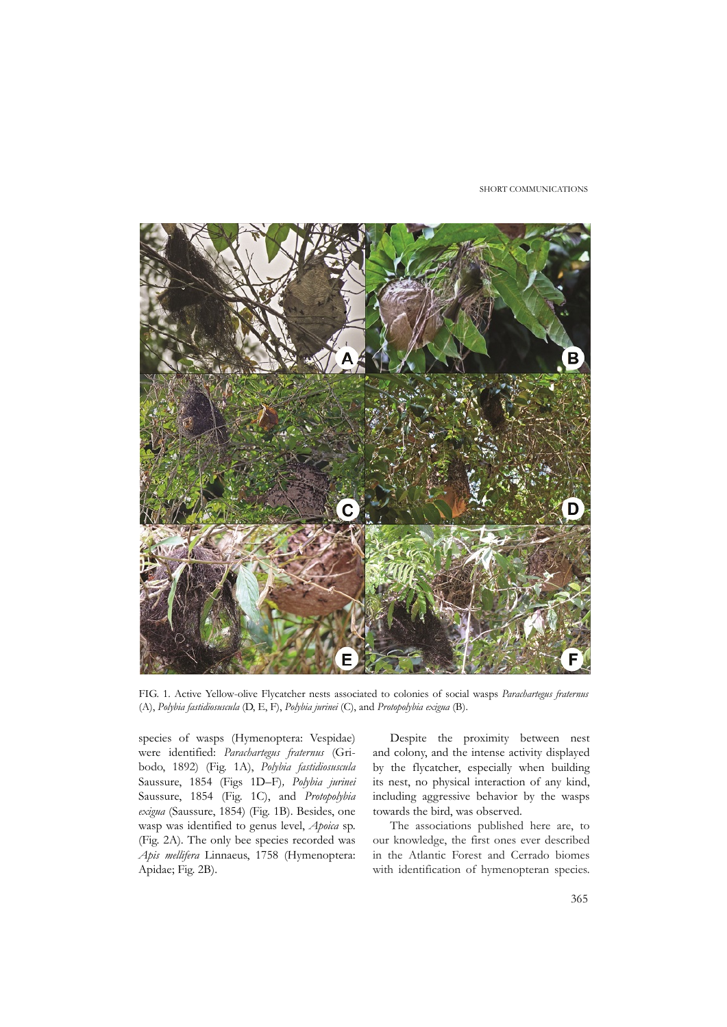SHORT COMMUNICATIONS



FIG. 1. Active Yellow-olive Flycatcher nests associated to colonies of social wasps *Parachartegus fraternus* (A), *Polybia fastidiosuscula* (D, E, F), *Polybia jurinei* (C), and *Protopolybia exigua* (B).

species of wasps (Hymenoptera: Vespidae) were identified: *Parachartegus fraternus* (Gribodo, 1892) (Fig. 1A), *Polybia fastidiosuscula* Saussure, 1854 (Figs 1D–F)*, Polybia jurinei* Saussure, 1854 (Fig. 1C), and *Protopolybia exigua* (Saussure, 1854) (Fig. 1B). Besides, one wasp was identified to genus level, *Apoica* sp. (Fig. 2A). The only bee species recorded was *Apis mellifera* Linnaeus, 1758 (Hymenoptera: Apidae; Fig. 2B).

Despite the proximity between nest and colony, and the intense activity displayed by the flycatcher, especially when building its nest, no physical interaction of any kind, including aggressive behavior by the wasps towards the bird, was observed.

The associations published here are, to our knowledge, the first ones ever described in the Atlantic Forest and Cerrado biomes with identification of hymenopteran species.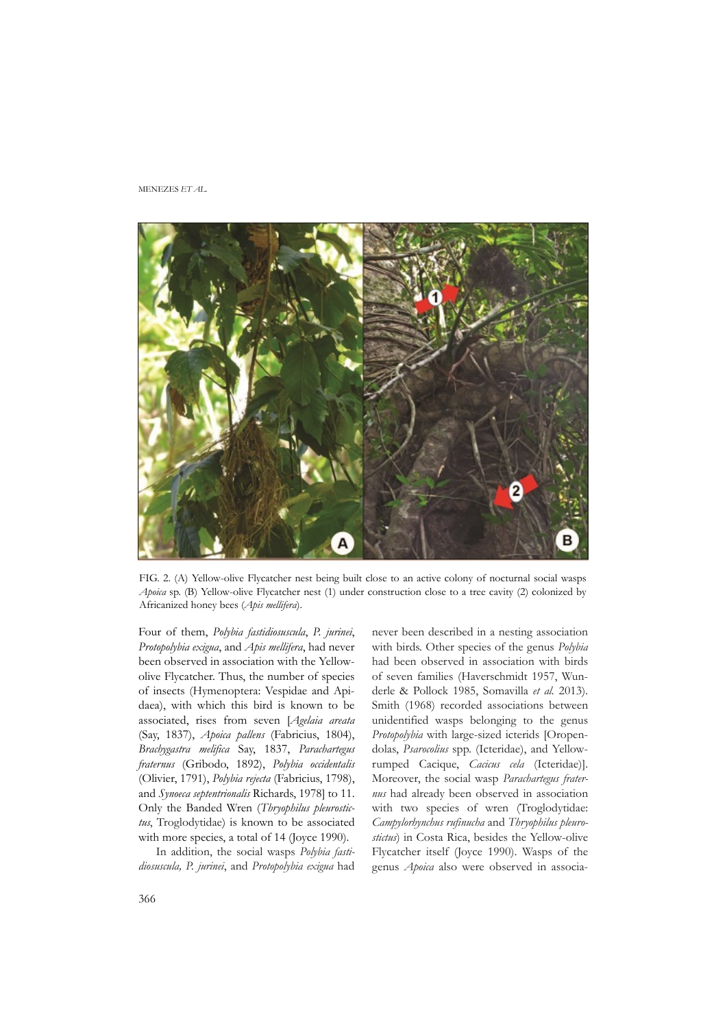MENEZES *ET AL.*



FIG. 2. (A) Yellow-olive Flycatcher nest being built close to an active colony of nocturnal social wasps *Apoica* sp. (B) Yellow-olive Flycatcher nest (1) under construction close to a tree cavity (2) colonized by Africanized honey bees (*Apis mellifera*).

Four of them, *Polybia fastidiosuscula*, *P. jurinei*, *Protopolybia exigua*, and *Apis mellifera*, had never been observed in association with the Yellowolive Flycatcher. Thus, the number of species of insects (Hymenoptera: Vespidae and Apidaea), with which this bird is known to be associated, rises from seven [*Agelaia areata* (Say, 1837), *Apoica pallens* (Fabricius, 1804), *Brachygastra melifica* Say, 1837, *Parachartegus fraternus* (Gribodo, 1892), *Polybia occidentalis* (Olivier, 1791), *Polybia rejecta* (Fabricius, 1798), and *Synoeca septentrionalis* Richards, 1978] to 11. Only the Banded Wren (*Thryophilus pleurostictus*, Troglodytidae) is known to be associated with more species, a total of 14 (Joyce 1990).

In addition, the social wasps *Polybia fastidiosuscula, P. jurinei*, and *Protopolybia exigua* had never been described in a nesting association with birds. Other species of the genus *Polybia* had been observed in association with birds of seven families (Haverschmidt 1957, Wunderle & Pollock 1985, Somavilla *et al.* 2013). Smith (1968) recorded associations between unidentified wasps belonging to the genus *Protopolybia* with large-sized icterids [Oropendolas, *Psarocolius* spp. (Icteridae), and Yellowrumped Cacique, *Cacicus cela* (Icteridae)]. Moreover, the social wasp *Parachartegus fraternus* had already been observed in association with two species of wren (Troglodytidae: *Campylorhynchus rufinucha* and *Thryophilus pleurostictus*) in Costa Rica, besides the Yellow-olive Flycatcher itself (Joyce 1990). Wasps of the genus *Apoica* also were observed in associa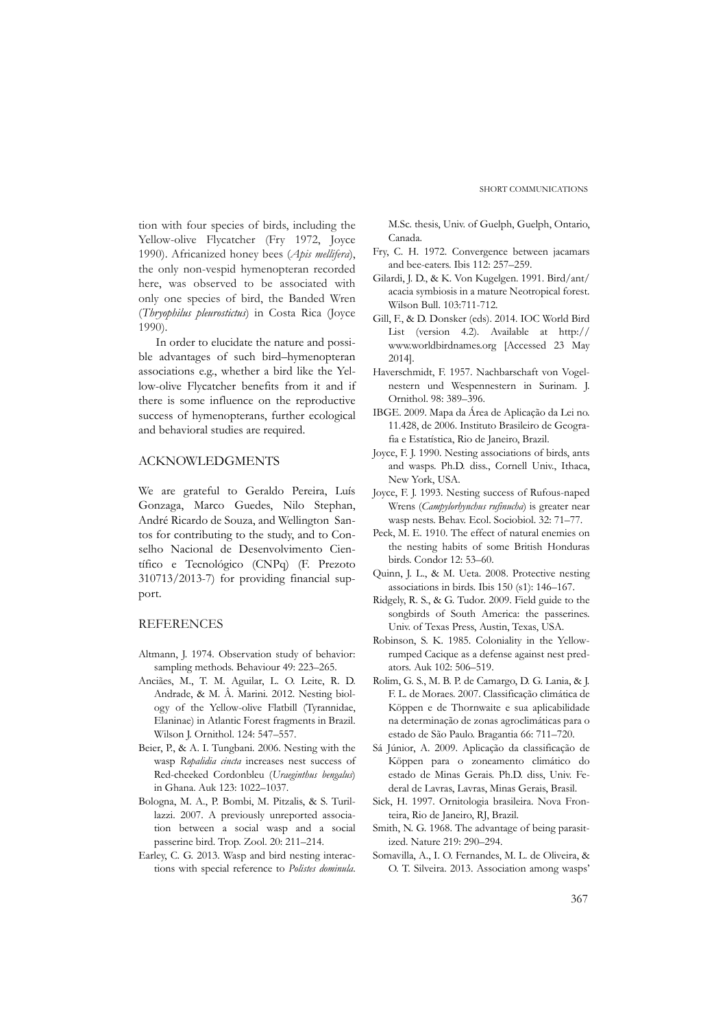tion with four species of birds, including the Yellow-olive Flycatcher (Fry 1972, Joyce 1990). Africanized honey bees (*Apis mellifera*), the only non-vespid hymenopteran recorded here, was observed to be associated with only one species of bird, the Banded Wren (*Thryophilus pleurostictus*) in Costa Rica (Joyce 1990).

In order to elucidate the nature and possible advantages of such bird–hymenopteran associations e.g., whether a bird like the Yellow-olive Flycatcher benefits from it and if there is some influence on the reproductive success of hymenopterans, further ecological and behavioral studies are required.

### ACKNOWLEDGMENTS

We are grateful to Geraldo Pereira, Luís Gonzaga, Marco Guedes, Nilo Stephan, André Ricardo de Souza, and Wellington Santos for contributing to the study, and to Conselho Nacional de Desenvolvimento Científico e Tecnológico (CNPq) (F. Prezoto 310713/2013-7) for providing financial support.

## **REFERENCES**

- Altmann, J. 1974. Observation study of behavior: sampling methods. Behaviour 49: 223–265.
- Anciães, M., T. M. Aguilar, L. O. Leite, R. D. Andrade, & M. Â. Marini. 2012. Nesting biology of the Yellow-olive Flatbill (Tyrannidae, Elaninae) in Atlantic Forest fragments in Brazil. Wilson J. Ornithol. 124: 547–557.
- Beier, P., & A. I. Tungbani. 2006. Nesting with the wasp *Ropalidia cincta* increases nest success of Red-cheeked Cordonbleu (*Uraeginthus bengalus*) in Ghana. Auk 123: 1022–1037.
- Bologna, M. A., P. Bombi, M. Pitzalis, & S. Turillazzi. 2007. A previously unreported association between a social wasp and a social passerine bird. Trop. Zool. 20: 211–214.
- Earley, C. G. 2013. Wasp and bird nesting interactions with special reference to *Polistes dominula*.

M.Sc. thesis, Univ. of Guelph, Guelph, Ontario, Canada.

- Fry, C. H. 1972. Convergence between jacamars and bee-eaters. Ibis 112: 257–259.
- Gilardi, J. D., & K. Von Kugelgen. 1991. Bird/ant/ acacia symbiosis in a mature Neotropical forest. Wilson Bull. 103:711-712.
- Gill, F., & D. Donsker (eds). 2014. IOC World Bird List (version 4.2). Available at http:// www.worldbirdnames.org [Accessed 23 May 2014].
- Haverschmidt, F. 1957. Nachbarschaft von Vogelnestern und Wespennestern in Surinam. J. Ornithol. 98: 389–396.
- IBGE. 2009. Mapa da Área de Aplicação da Lei no. 11.428, de 2006. Instituto Brasileiro de Geografia e Estatística, Rio de Janeiro, Brazil.
- Joyce, F. J. 1990. Nesting associations of birds, ants and wasps. Ph.D. diss., Cornell Univ., Ithaca, New York, USA.
- Joyce, F. J. 1993. Nesting success of Rufous-naped Wrens (*Campylorhynchus rufinucha*) is greater near wasp nests. Behav. Ecol. Sociobiol. 32: 71–77.
- Peck, M. E. 1910. The effect of natural enemies on the nesting habits of some British Honduras birds. Condor 12: 53–60.
- Quinn, J. L., & M. Ueta. 2008. Protective nesting associations in birds. Ibis 150 (s1): 146–167.
- Ridgely, R. S., & G. Tudor. 2009. Field guide to the songbirds of South America: the passerines. Univ. of Texas Press, Austin, Texas, USA.
- Robinson, S. K. 1985. Coloniality in the Yellowrumped Cacique as a defense against nest predators. Auk 102: 506–519.
- Rolim, G. S., M. B. P. de Camargo, D. G. Lania, & J. F. L. de Moraes. 2007. Classificação climática de Köppen e de Thornwaite e sua aplicabilidade na determinação de zonas agroclimáticas para o estado de São Paulo. Bragantia 66: 711–720.
- Sá Júnior, A. 2009. Aplicação da classificação de Köppen para o zoneamento climático do estado de Minas Gerais. Ph.D. diss, Univ. Federal de Lavras, Lavras, Minas Gerais, Brasil.
- Sick, H. 1997. Ornitologia brasileira. Nova Fronteira, Rio de Janeiro, RJ, Brazil.
- Smith, N. G. 1968. The advantage of being parasitized. Nature 219: 290–294.
- Somavilla, A., I. O. Fernandes, M. L. de Oliveira, & O. T. Silveira. 2013. Association among wasps'